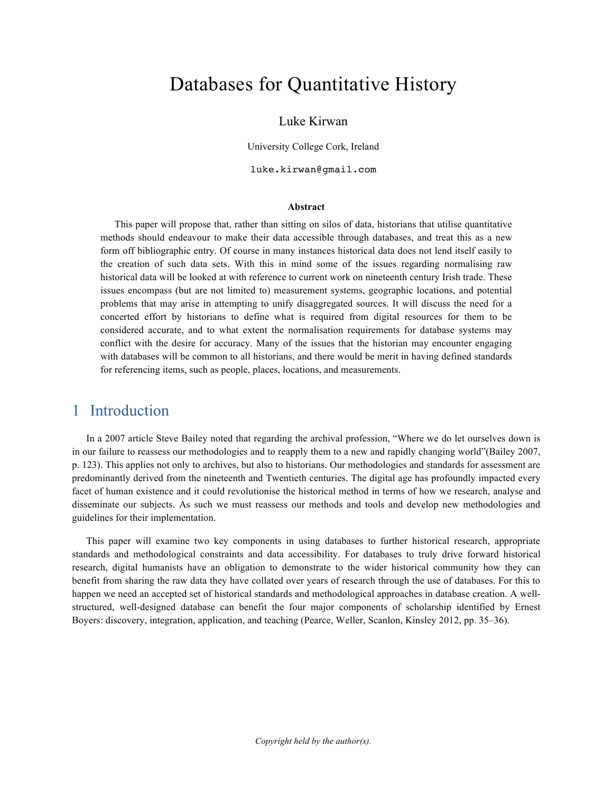# Databases for Quantitative History

#### Luke Kirwan

University College Cork, Ireland

luke.kirwan@gmail.com

#### **Abstract**

This paper will propose that, rather than sitting on silos of data, historians that utilise quantitative methods should endeavour to make their data accessible through databases, and treat this as a new form off bibliographic entry. Of course in many instances historical data does not lend itself easily to the creation of such data sets. With this in mind some of the issues regarding normalising raw historical data will be looked at with reference to current work on nineteenth century Irish trade. These issues encompass (but are not limited to) measurement systems, geographic locations, and potential problems that may arise in attempting to unify disaggregated sources. It will discuss the need for a concerted effort by historians to define what is required from digital resources for them to be considered accurate, and to what extent the normalisation requirements for database systems may conflict with the desire for accuracy. Many of the issues that the historian may encounter engaging with databases will be common to all historians, and there would be merit in having defined standards for referencing items, such as people, places, locations, and measurements.

#### 1 Introduction

In a 2007 article Steve Bailey noted that regarding the archival profession, "Where we do let ourselves down is in our failure to reassess our methodologies and to reapply them to a new and rapidly changing world"(Bailey 2007, p. 123). This applies not only to archives, but also to historians. Our methodologies and standards for assessment are predominantly derived from the nineteenth and Twentieth centuries. The digital age has profoundly impacted every facet of human existence and it could revolutionise the historical method in terms of how we research, analyse and disseminate our subjects. As such we must reassess our methods and tools and develop new methodologies and guidelines for their implementation.

This paper will examine two key components in using databases to further historical research, appropriate standards and methodological constraints and data accessibility. For databases to truly drive forward historical research, digital humanists have an obligation to demonstrate to the wider historical community how they can benefit from sharing the raw data they have collated over years of research through the use of databases. For this to happen we need an accepted set of historical standards and methodological approaches in database creation. A wellstructured, well-designed database can benefit the four major components of scholarship identified by Ernest Boyers: discovery, integration, application, and teaching (Pearce, Weller, Scanlon, Kinsley 2012, pp. 35–36).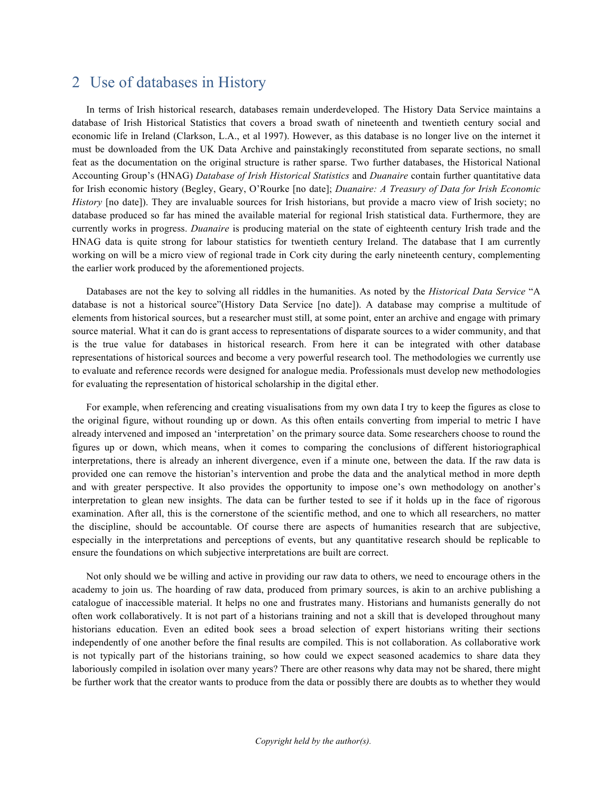#### 2 Use of databases in History

In terms of Irish historical research, databases remain underdeveloped. The History Data Service maintains a database of Irish Historical Statistics that covers a broad swath of nineteenth and twentieth century social and economic life in Ireland (Clarkson, L.A., et al 1997). However, as this database is no longer live on the internet it must be downloaded from the UK Data Archive and painstakingly reconstituted from separate sections, no small feat as the documentation on the original structure is rather sparse. Two further databases, the Historical National Accounting Group's (HNAG) *Database of Irish Historical Statistics* and *Duanaire* contain further quantitative data for Irish economic history (Begley, Geary, O'Rourke [no date]; *Duanaire: A Treasury of Data for Irish Economic History* [no date]). They are invaluable sources for Irish historians, but provide a macro view of Irish society; no database produced so far has mined the available material for regional Irish statistical data. Furthermore, they are currently works in progress. *Duanaire* is producing material on the state of eighteenth century Irish trade and the HNAG data is quite strong for labour statistics for twentieth century Ireland. The database that I am currently working on will be a micro view of regional trade in Cork city during the early nineteenth century, complementing the earlier work produced by the aforementioned projects.

Databases are not the key to solving all riddles in the humanities. As noted by the *Historical Data Service* "A database is not a historical source"(History Data Service [no date]). A database may comprise a multitude of elements from historical sources, but a researcher must still, at some point, enter an archive and engage with primary source material. What it can do is grant access to representations of disparate sources to a wider community, and that is the true value for databases in historical research. From here it can be integrated with other database representations of historical sources and become a very powerful research tool. The methodologies we currently use to evaluate and reference records were designed for analogue media. Professionals must develop new methodologies for evaluating the representation of historical scholarship in the digital ether.

For example, when referencing and creating visualisations from my own data I try to keep the figures as close to the original figure, without rounding up or down. As this often entails converting from imperial to metric I have already intervened and imposed an 'interpretation' on the primary source data. Some researchers choose to round the figures up or down, which means, when it comes to comparing the conclusions of different historiographical interpretations, there is already an inherent divergence, even if a minute one, between the data. If the raw data is provided one can remove the historian's intervention and probe the data and the analytical method in more depth and with greater perspective. It also provides the opportunity to impose one's own methodology on another's interpretation to glean new insights. The data can be further tested to see if it holds up in the face of rigorous examination. After all, this is the cornerstone of the scientific method, and one to which all researchers, no matter the discipline, should be accountable. Of course there are aspects of humanities research that are subjective, especially in the interpretations and perceptions of events, but any quantitative research should be replicable to ensure the foundations on which subjective interpretations are built are correct.

Not only should we be willing and active in providing our raw data to others, we need to encourage others in the academy to join us. The hoarding of raw data, produced from primary sources, is akin to an archive publishing a catalogue of inaccessible material. It helps no one and frustrates many. Historians and humanists generally do not often work collaboratively. It is not part of a historians training and not a skill that is developed throughout many historians education. Even an edited book sees a broad selection of expert historians writing their sections independently of one another before the final results are compiled. This is not collaboration. As collaborative work is not typically part of the historians training, so how could we expect seasoned academics to share data they laboriously compiled in isolation over many years? There are other reasons why data may not be shared, there might be further work that the creator wants to produce from the data or possibly there are doubts as to whether they would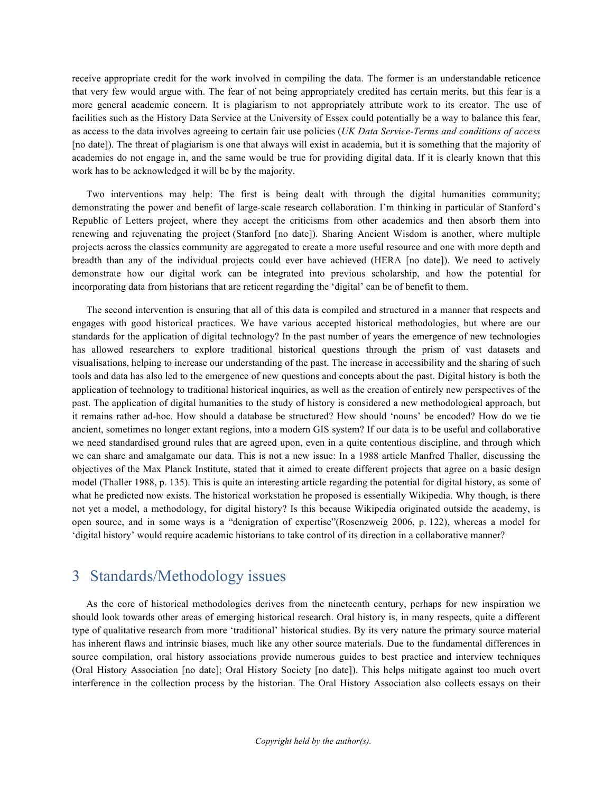receive appropriate credit for the work involved in compiling the data. The former is an understandable reticence that very few would argue with. The fear of not being appropriately credited has certain merits, but this fear is a more general academic concern. It is plagiarism to not appropriately attribute work to its creator. The use of facilities such as the History Data Service at the University of Essex could potentially be a way to balance this fear, as access to the data involves agreeing to certain fair use policies (*UK Data Service-Terms and conditions of access* [no date]). The threat of plagiarism is one that always will exist in academia, but it is something that the majority of academics do not engage in, and the same would be true for providing digital data. If it is clearly known that this work has to be acknowledged it will be by the majority.

Two interventions may help: The first is being dealt with through the digital humanities community; demonstrating the power and benefit of large-scale research collaboration. I'm thinking in particular of Stanford's Republic of Letters project, where they accept the criticisms from other academics and then absorb them into renewing and rejuvenating the project (Stanford [no date]). Sharing Ancient Wisdom is another, where multiple projects across the classics community are aggregated to create a more useful resource and one with more depth and breadth than any of the individual projects could ever have achieved (HERA [no date]). We need to actively demonstrate how our digital work can be integrated into previous scholarship, and how the potential for incorporating data from historians that are reticent regarding the 'digital' can be of benefit to them.

The second intervention is ensuring that all of this data is compiled and structured in a manner that respects and engages with good historical practices. We have various accepted historical methodologies, but where are our standards for the application of digital technology? In the past number of years the emergence of new technologies has allowed researchers to explore traditional historical questions through the prism of vast datasets and visualisations, helping to increase our understanding of the past. The increase in accessibility and the sharing of such tools and data has also led to the emergence of new questions and concepts about the past. Digital history is both the application of technology to traditional historical inquiries, as well as the creation of entirely new perspectives of the past. The application of digital humanities to the study of history is considered a new methodological approach, but it remains rather ad-hoc. How should a database be structured? How should 'nouns' be encoded? How do we tie ancient, sometimes no longer extant regions, into a modern GIS system? If our data is to be useful and collaborative we need standardised ground rules that are agreed upon, even in a quite contentious discipline, and through which we can share and amalgamate our data. This is not a new issue: In a 1988 article Manfred Thaller, discussing the objectives of the Max Planck Institute, stated that it aimed to create different projects that agree on a basic design model (Thaller 1988, p. 135). This is quite an interesting article regarding the potential for digital history, as some of what he predicted now exists. The historical workstation he proposed is essentially Wikipedia. Why though, is there not yet a model, a methodology, for digital history? Is this because Wikipedia originated outside the academy, is open source, and in some ways is a "denigration of expertise"(Rosenzweig 2006, p. 122), whereas a model for 'digital history' would require academic historians to take control of its direction in a collaborative manner?

### 3 Standards/Methodology issues

As the core of historical methodologies derives from the nineteenth century, perhaps for new inspiration we should look towards other areas of emerging historical research. Oral history is, in many respects, quite a different type of qualitative research from more 'traditional' historical studies. By its very nature the primary source material has inherent flaws and intrinsic biases, much like any other source materials. Due to the fundamental differences in source compilation, oral history associations provide numerous guides to best practice and interview techniques (Oral History Association [no date]; Oral History Society [no date]). This helps mitigate against too much overt interference in the collection process by the historian. The Oral History Association also collects essays on their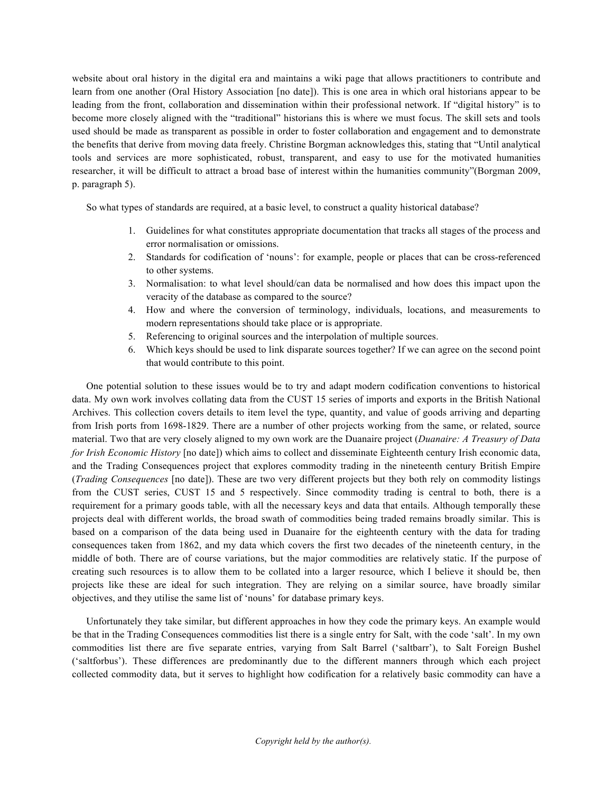website about oral history in the digital era and maintains a wiki page that allows practitioners to contribute and learn from one another (Oral History Association [no date]). This is one area in which oral historians appear to be leading from the front, collaboration and dissemination within their professional network. If "digital history" is to become more closely aligned with the "traditional" historians this is where we must focus. The skill sets and tools used should be made as transparent as possible in order to foster collaboration and engagement and to demonstrate the benefits that derive from moving data freely. Christine Borgman acknowledges this, stating that "Until analytical tools and services are more sophisticated, robust, transparent, and easy to use for the motivated humanities researcher, it will be difficult to attract a broad base of interest within the humanities community"(Borgman 2009, p. paragraph 5).

So what types of standards are required, at a basic level, to construct a quality historical database?

- 1. Guidelines for what constitutes appropriate documentation that tracks all stages of the process and error normalisation or omissions.
- 2. Standards for codification of 'nouns': for example, people or places that can be cross-referenced to other systems.
- 3. Normalisation: to what level should/can data be normalised and how does this impact upon the veracity of the database as compared to the source?
- 4. How and where the conversion of terminology, individuals, locations, and measurements to modern representations should take place or is appropriate.
- 5. Referencing to original sources and the interpolation of multiple sources.
- 6. Which keys should be used to link disparate sources together? If we can agree on the second point that would contribute to this point.

One potential solution to these issues would be to try and adapt modern codification conventions to historical data. My own work involves collating data from the CUST 15 series of imports and exports in the British National Archives. This collection covers details to item level the type, quantity, and value of goods arriving and departing from Irish ports from 1698-1829. There are a number of other projects working from the same, or related, source material. Two that are very closely aligned to my own work are the Duanaire project (*Duanaire: A Treasury of Data for Irish Economic History* [no date]) which aims to collect and disseminate Eighteenth century Irish economic data, and the Trading Consequences project that explores commodity trading in the nineteenth century British Empire (*Trading Consequences* [no date]). These are two very different projects but they both rely on commodity listings from the CUST series, CUST 15 and 5 respectively. Since commodity trading is central to both, there is a requirement for a primary goods table, with all the necessary keys and data that entails. Although temporally these projects deal with different worlds, the broad swath of commodities being traded remains broadly similar. This is based on a comparison of the data being used in Duanaire for the eighteenth century with the data for trading consequences taken from 1862, and my data which covers the first two decades of the nineteenth century, in the middle of both. There are of course variations, but the major commodities are relatively static. If the purpose of creating such resources is to allow them to be collated into a larger resource, which I believe it should be, then projects like these are ideal for such integration. They are relying on a similar source, have broadly similar objectives, and they utilise the same list of 'nouns' for database primary keys.

Unfortunately they take similar, but different approaches in how they code the primary keys. An example would be that in the Trading Consequences commodities list there is a single entry for Salt, with the code 'salt'. In my own commodities list there are five separate entries, varying from Salt Barrel ('saltbarr'), to Salt Foreign Bushel ('saltforbus'). These differences are predominantly due to the different manners through which each project collected commodity data, but it serves to highlight how codification for a relatively basic commodity can have a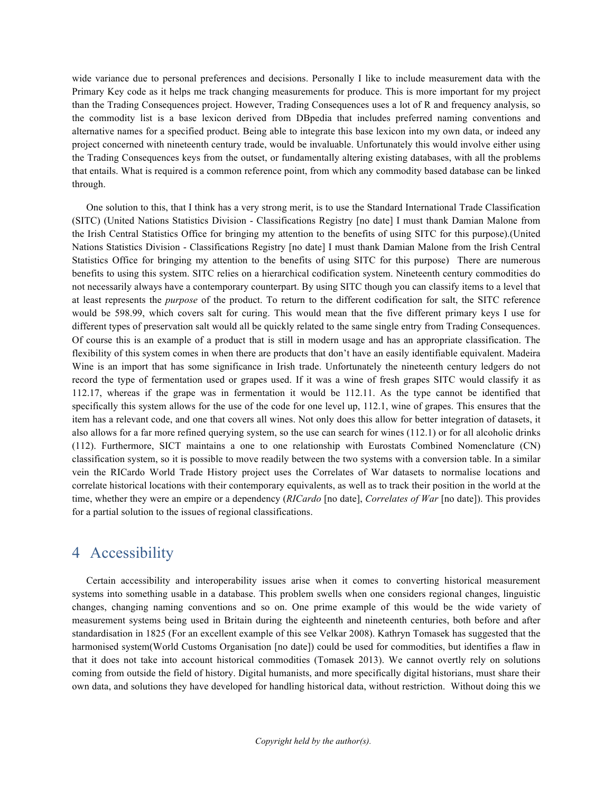wide variance due to personal preferences and decisions. Personally I like to include measurement data with the Primary Key code as it helps me track changing measurements for produce. This is more important for my project than the Trading Consequences project. However, Trading Consequences uses a lot of R and frequency analysis, so the commodity list is a base lexicon derived from DBpedia that includes preferred naming conventions and alternative names for a specified product. Being able to integrate this base lexicon into my own data, or indeed any project concerned with nineteenth century trade, would be invaluable. Unfortunately this would involve either using the Trading Consequences keys from the outset, or fundamentally altering existing databases, with all the problems that entails. What is required is a common reference point, from which any commodity based database can be linked through.

One solution to this, that I think has a very strong merit, is to use the Standard International Trade Classification (SITC) (United Nations Statistics Division - Classifications Registry [no date] I must thank Damian Malone from the Irish Central Statistics Office for bringing my attention to the benefits of using SITC for this purpose).(United Nations Statistics Division - Classifications Registry [no date] I must thank Damian Malone from the Irish Central Statistics Office for bringing my attention to the benefits of using SITC for this purpose) There are numerous benefits to using this system. SITC relies on a hierarchical codification system. Nineteenth century commodities do not necessarily always have a contemporary counterpart. By using SITC though you can classify items to a level that at least represents the *purpose* of the product. To return to the different codification for salt, the SITC reference would be 598.99, which covers salt for curing. This would mean that the five different primary keys I use for different types of preservation salt would all be quickly related to the same single entry from Trading Consequences. Of course this is an example of a product that is still in modern usage and has an appropriate classification. The flexibility of this system comes in when there are products that don't have an easily identifiable equivalent. Madeira Wine is an import that has some significance in Irish trade. Unfortunately the nineteenth century ledgers do not record the type of fermentation used or grapes used. If it was a wine of fresh grapes SITC would classify it as 112.17, whereas if the grape was in fermentation it would be 112.11. As the type cannot be identified that specifically this system allows for the use of the code for one level up, 112.1, wine of grapes. This ensures that the item has a relevant code, and one that covers all wines. Not only does this allow for better integration of datasets, it also allows for a far more refined querying system, so the use can search for wines (112.1) or for all alcoholic drinks (112). Furthermore, SICT maintains a one to one relationship with Eurostats Combined Nomenclature (CN) classification system, so it is possible to move readily between the two systems with a conversion table. In a similar vein the RICardo World Trade History project uses the Correlates of War datasets to normalise locations and correlate historical locations with their contemporary equivalents, as well as to track their position in the world at the time, whether they were an empire or a dependency (*RICardo* [no date], *Correlates of War* [no date]). This provides for a partial solution to the issues of regional classifications.

## 4 Accessibility

Certain accessibility and interoperability issues arise when it comes to converting historical measurement systems into something usable in a database. This problem swells when one considers regional changes, linguistic changes, changing naming conventions and so on. One prime example of this would be the wide variety of measurement systems being used in Britain during the eighteenth and nineteenth centuries, both before and after standardisation in 1825 (For an excellent example of this see Velkar 2008). Kathryn Tomasek has suggested that the harmonised system(World Customs Organisation [no date]) could be used for commodities, but identifies a flaw in that it does not take into account historical commodities (Tomasek 2013). We cannot overtly rely on solutions coming from outside the field of history. Digital humanists, and more specifically digital historians, must share their own data, and solutions they have developed for handling historical data, without restriction. Without doing this we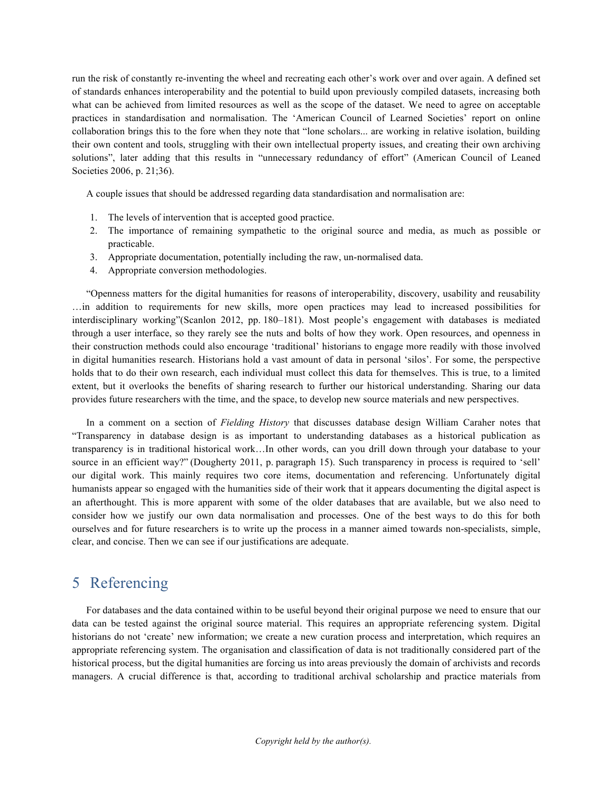run the risk of constantly re-inventing the wheel and recreating each other's work over and over again. A defined set of standards enhances interoperability and the potential to build upon previously compiled datasets, increasing both what can be achieved from limited resources as well as the scope of the dataset. We need to agree on acceptable practices in standardisation and normalisation. The 'American Council of Learned Societies' report on online collaboration brings this to the fore when they note that "lone scholars... are working in relative isolation, building their own content and tools, struggling with their own intellectual property issues, and creating their own archiving solutions", later adding that this results in "unnecessary redundancy of effort" (American Council of Leaned Societies 2006, p. 21;36).

A couple issues that should be addressed regarding data standardisation and normalisation are:

- 1. The levels of intervention that is accepted good practice.
- 2. The importance of remaining sympathetic to the original source and media, as much as possible or practicable.
- 3. Appropriate documentation, potentially including the raw, un-normalised data.
- 4. Appropriate conversion methodologies.

"Openness matters for the digital humanities for reasons of interoperability, discovery, usability and reusability …in addition to requirements for new skills, more open practices may lead to increased possibilities for interdisciplinary working"(Scanlon 2012, pp. 180–181). Most people's engagement with databases is mediated through a user interface, so they rarely see the nuts and bolts of how they work. Open resources, and openness in their construction methods could also encourage 'traditional' historians to engage more readily with those involved in digital humanities research. Historians hold a vast amount of data in personal 'silos'. For some, the perspective holds that to do their own research, each individual must collect this data for themselves. This is true, to a limited extent, but it overlooks the benefits of sharing research to further our historical understanding. Sharing our data provides future researchers with the time, and the space, to develop new source materials and new perspectives.

In a comment on a section of *Fielding History* that discusses database design William Caraher notes that "Transparency in database design is as important to understanding databases as a historical publication as transparency is in traditional historical work…In other words, can you drill down through your database to your source in an efficient way?" (Dougherty 2011, p. paragraph 15). Such transparency in process is required to 'sell' our digital work. This mainly requires two core items, documentation and referencing. Unfortunately digital humanists appear so engaged with the humanities side of their work that it appears documenting the digital aspect is an afterthought. This is more apparent with some of the older databases that are available, but we also need to consider how we justify our own data normalisation and processes. One of the best ways to do this for both ourselves and for future researchers is to write up the process in a manner aimed towards non-specialists, simple, clear, and concise. Then we can see if our justifications are adequate.

## 5 Referencing

For databases and the data contained within to be useful beyond their original purpose we need to ensure that our data can be tested against the original source material. This requires an appropriate referencing system. Digital historians do not 'create' new information; we create a new curation process and interpretation, which requires an appropriate referencing system. The organisation and classification of data is not traditionally considered part of the historical process, but the digital humanities are forcing us into areas previously the domain of archivists and records managers. A crucial difference is that, according to traditional archival scholarship and practice materials from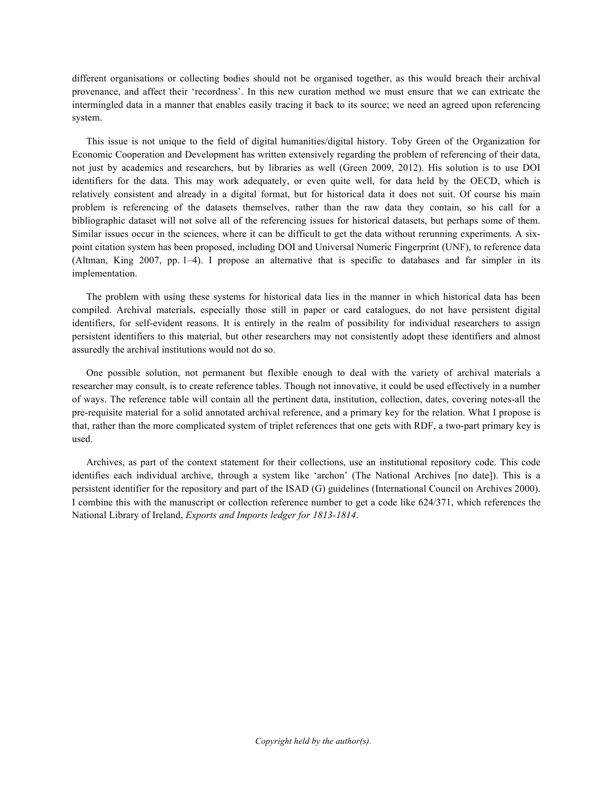different organisations or collecting bodies should not be organised together, as this would breach their archival provenance, and affect their 'recordness'. In this new curation method we must ensure that we can extricate the intermingled data in a manner that enables easily tracing it back to its source; we need an agreed upon referencing system.

This issue is not unique to the field of digital humanities/digital history. Toby Green of the Organization for Economic Cooperation and Development has written extensively regarding the problem of referencing of their data, not just by academics and researchers, but by libraries as well (Green 2009, 2012). His solution is to use DOI identifiers for the data. This may work adequately, or even quite well, for data held by the OECD, which is relatively consistent and already in a digital format, but for historical data it does not suit. Of course his main problem is referencing of the datasets themselves, rather than the raw data they contain, so his call for a bibliographic dataset will not solve all of the referencing issues for historical datasets, but perhaps some of them. Similar issues occur in the sciences, where it can be difficult to get the data without rerunning experiments. A sixpoint citation system has been proposed, including DOI and Universal Numeric Fingerprint (UNF), to reference data (Altman, King 2007, pp. 1–4). I propose an alternative that is specific to databases and far simpler in its implementation.

The problem with using these systems for historical data lies in the manner in which historical data has been compiled. Archival materials, especially those still in paper or card catalogues, do not have persistent digital identifiers, for self-evident reasons. It is entirely in the realm of possibility for individual researchers to assign persistent identifiers to this material, but other researchers may not consistently adopt these identifiers and almost assuredly the archival institutions would not do so.

One possible solution, not permanent but flexible enough to deal with the variety of archival materials a researcher may consult, is to create reference tables. Though not innovative, it could be used effectively in a number of ways. The reference table will contain all the pertinent data, institution, collection, dates, covering notes-all the pre-requisite material for a solid annotated archival reference, and a primary key for the relation. What I propose is that, rather than the more complicated system of triplet references that one gets with RDF, a two-part primary key is used.

Archives, as part of the context statement for their collections, use an institutional repository code. This code identifies each individual archive, through a system like 'archon' (The National Archives [no date]). This is a persistent identifier for the repository and part of the ISAD (G) guidelines (International Council on Archives 2000). I combine this with the manuscript or collection reference number to get a code like 624/371, which references the National Library of Ireland, *Exports and Imports ledger for 1813-1814*.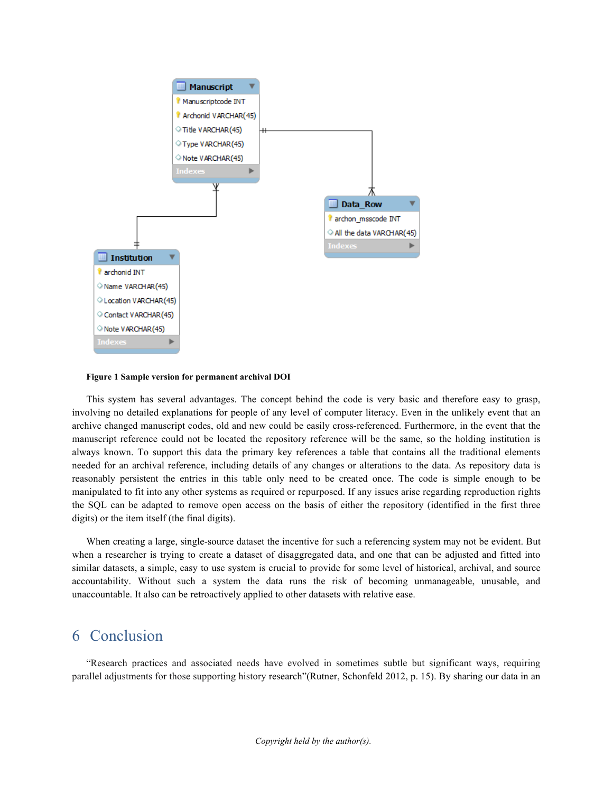

**Figure 1 Sample version for permanent archival DOI**

This system has several advantages. The concept behind the code is very basic and therefore easy to grasp, involving no detailed explanations for people of any level of computer literacy. Even in the unlikely event that an archive changed manuscript codes, old and new could be easily cross-referenced. Furthermore, in the event that the manuscript reference could not be located the repository reference will be the same, so the holding institution is always known. To support this data the primary key references a table that contains all the traditional elements needed for an archival reference, including details of any changes or alterations to the data. As repository data is reasonably persistent the entries in this table only need to be created once. The code is simple enough to be manipulated to fit into any other systems as required or repurposed. If any issues arise regarding reproduction rights the SQL can be adapted to remove open access on the basis of either the repository (identified in the first three digits) or the item itself (the final digits).

When creating a large, single-source dataset the incentive for such a referencing system may not be evident. But when a researcher is trying to create a dataset of disaggregated data, and one that can be adjusted and fitted into similar datasets, a simple, easy to use system is crucial to provide for some level of historical, archival, and source accountability. Without such a system the data runs the risk of becoming unmanageable, unusable, and unaccountable. It also can be retroactively applied to other datasets with relative ease.

#### 6 Conclusion

"Research practices and associated needs have evolved in sometimes subtle but significant ways, requiring parallel adjustments for those supporting history research"(Rutner, Schonfeld 2012, p. 15). By sharing our data in an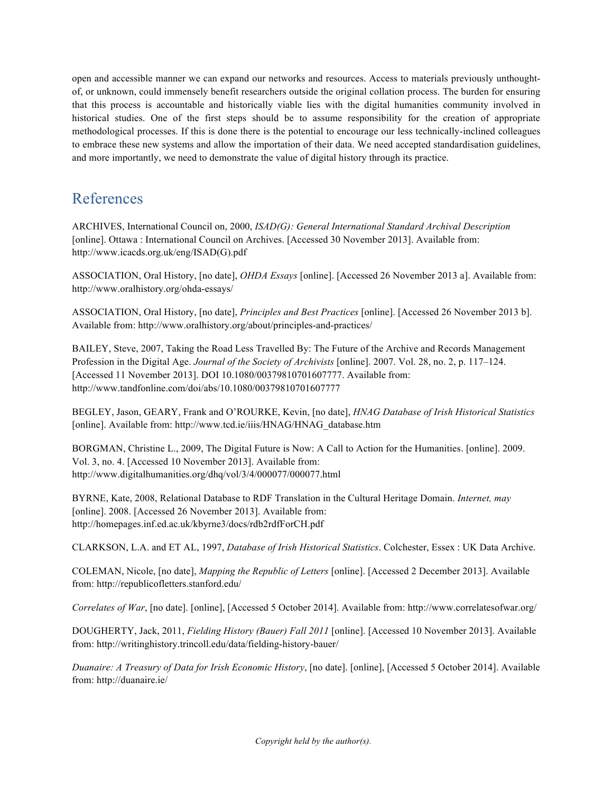open and accessible manner we can expand our networks and resources. Access to materials previously unthoughtof, or unknown, could immensely benefit researchers outside the original collation process. The burden for ensuring that this process is accountable and historically viable lies with the digital humanities community involved in historical studies. One of the first steps should be to assume responsibility for the creation of appropriate methodological processes. If this is done there is the potential to encourage our less technically-inclined colleagues to embrace these new systems and allow the importation of their data. We need accepted standardisation guidelines, and more importantly, we need to demonstrate the value of digital history through its practice.

## References

ARCHIVES, International Council on, 2000, *ISAD(G): General International Standard Archival Description* [online]. Ottawa : International Council on Archives. [Accessed 30 November 2013]. Available from: http://www.icacds.org.uk/eng/ISAD(G).pdf

ASSOCIATION, Oral History, [no date], *OHDA Essays* [online]. [Accessed 26 November 2013 a]. Available from: http://www.oralhistory.org/ohda-essays/

ASSOCIATION, Oral History, [no date], *Principles and Best Practices* [online]. [Accessed 26 November 2013 b]. Available from: http://www.oralhistory.org/about/principles-and-practices/

BAILEY, Steve, 2007, Taking the Road Less Travelled By: The Future of the Archive and Records Management Profession in the Digital Age. *Journal of the Society of Archivists* [online]. 2007. Vol. 28, no. 2, p. 117–124. [Accessed 11 November 2013]. DOI 10.1080/00379810701607777. Available from: http://www.tandfonline.com/doi/abs/10.1080/00379810701607777

BEGLEY, Jason, GEARY, Frank and O'ROURKE, Kevin, [no date], *HNAG Database of Irish Historical Statistics* [online]. Available from: http://www.tcd.ie/iiis/HNAG/HNAG\_database.htm

BORGMAN, Christine L., 2009, The Digital Future is Now: A Call to Action for the Humanities. [online]. 2009. Vol. 3, no. 4. [Accessed 10 November 2013]. Available from: http://www.digitalhumanities.org/dhq/vol/3/4/000077/000077.html

BYRNE, Kate, 2008, Relational Database to RDF Translation in the Cultural Heritage Domain. *Internet, may* [online]. 2008. [Accessed 26 November 2013]. Available from: http://homepages.inf.ed.ac.uk/kbyrne3/docs/rdb2rdfForCH.pdf

CLARKSON, L.A. and ET AL, 1997, *Database of Irish Historical Statistics*. Colchester, Essex : UK Data Archive.

COLEMAN, Nicole, [no date], *Mapping the Republic of Letters* [online]. [Accessed 2 December 2013]. Available from: http://republicofletters.stanford.edu/

*Correlates of War*, [no date]. [online], [Accessed 5 October 2014]. Available from: http://www.correlatesofwar.org/

DOUGHERTY, Jack, 2011, *Fielding History (Bauer) Fall 2011* [online]. [Accessed 10 November 2013]. Available from: http://writinghistory.trincoll.edu/data/fielding-history-bauer/

*Duanaire: A Treasury of Data for Irish Economic History*, [no date]. [online], [Accessed 5 October 2014]. Available from: http://duanaire.ie/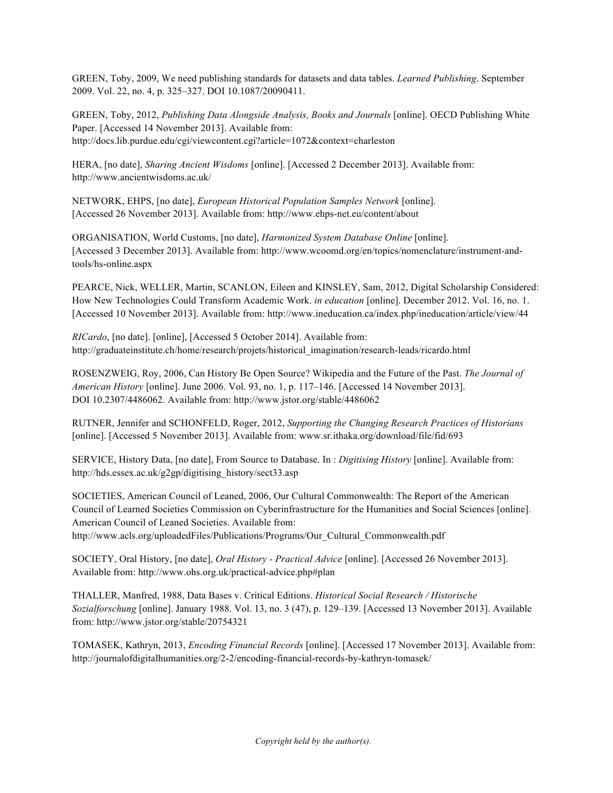GREEN, Toby, 2009, We need publishing standards for datasets and data tables. *Learned Publishing*. September 2009. Vol. 22, no. 4, p. 325–327. DOI 10.1087/20090411.

GREEN, Toby, 2012, *Publishing Data Alongside Analysis, Books and Journals* [online]. OECD Publishing White Paper. [Accessed 14 November 2013]. Available from: http://docs.lib.purdue.edu/cgi/viewcontent.cgi?article=1072&context=charleston

HERA, [no date], *Sharing Ancient Wisdoms* [online]. [Accessed 2 December 2013]. Available from: http://www.ancientwisdoms.ac.uk/

NETWORK, EHPS, [no date], *European Historical Population Samples Network* [online]. [Accessed 26 November 2013]. Available from: http://www.ehps-net.eu/content/about

ORGANISATION, World Customs, [no date], *Harmonized System Database Online* [online]. [Accessed 3 December 2013]. Available from: http://www.wcoomd.org/en/topics/nomenclature/instrument-andtools/hs-online.aspx

PEARCE, Nick, WELLER, Martin, SCANLON, Eileen and KINSLEY, Sam, 2012, Digital Scholarship Considered: How New Technologies Could Transform Academic Work. *in education* [online]. December 2012. Vol. 16, no. 1. [Accessed 10 November 2013]. Available from: http://www.ineducation.ca/index.php/ineducation/article/view/44

*RICardo*, [no date]. [online], [Accessed 5 October 2014]. Available from: http://graduateinstitute.ch/home/research/projets/historical\_imagination/research-leads/ricardo.html

ROSENZWEIG, Roy, 2006, Can History Be Open Source? Wikipedia and the Future of the Past. *The Journal of American History* [online]. June 2006. Vol. 93, no. 1, p. 117–146. [Accessed 14 November 2013]. DOI 10.2307/4486062. Available from: http://www.jstor.org/stable/4486062

RUTNER, Jennifer and SCHONFELD, Roger, 2012, *Supporting the Changing Research Practices of Historians* [online]. [Accessed 5 November 2013]. Available from: www.sr.ithaka.org/download/file/fid/693

SERVICE, History Data, [no date], From Source to Database. In : *Digitising History* [online]. Available from: http://hds.essex.ac.uk/g2gp/digitising\_history/sect33.asp

SOCIETIES, American Council of Leaned, 2006, Our Cultural Commonwealth: The Report of the American Council of Learned Societies Commission on Cyberinfrastructure for the Humanities and Social Sciences [online]. American Council of Leaned Societies. Available from: http://www.acls.org/uploadedFiles/Publications/Programs/Our\_Cultural\_Commonwealth.pdf

SOCIETY, Oral History, [no date], *Oral History - Practical Advice* [online]. [Accessed 26 November 2013]. Available from: http://www.ohs.org.uk/practical-advice.php#plan

THALLER, Manfred, 1988, Data Bases v. Critical Editions. *Historical Social Research / Historische Sozialforschung* [online]. January 1988. Vol. 13, no. 3 (47), p. 129–139. [Accessed 13 November 2013]. Available from: http://www.jstor.org/stable/20754321

TOMASEK, Kathryn, 2013, *Encoding Financial Records* [online]. [Accessed 17 November 2013]. Available from: http://journalofdigitalhumanities.org/2-2/encoding-financial-records-by-kathryn-tomasek/